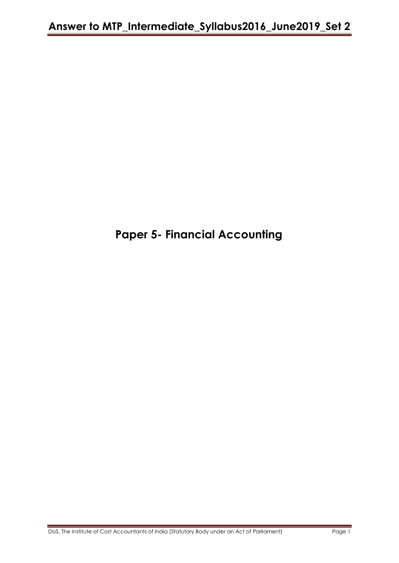# **Paper 5- Financial Accounting**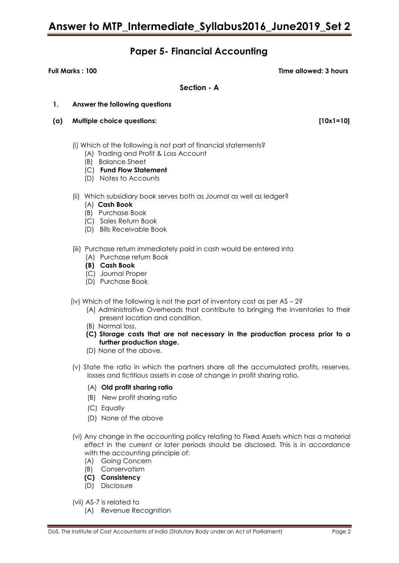### **Paper 5- Financial Accounting**

**Full Marks : 100 Time allowed: 3 hours**

**Section - A**

### **1. Answer the following questions**

- **(a) Multiple choice questions: [10x1=10]**
	- (i) Which of the following is not part of financial statements?
		- (A) Trading and Profit & Loss Account
		- (B) Balance Sheet
		- (C) **Fund Flow Statement**
		- (D) Notes to Accounts
	- (ii) Which subsidiary book serves both as Journal as well as ledger?
		- (A) **Cash Book**
		- (B) Purchase Book
		- (C) Sales Return Book
		- (D) Bills Receivable Book
	- (iii) Purchase return immediately paid in cash would be entered into
		- (A) Purchase return Book
		- **(B) Cash Book**
		- (C) Journal Proper
		- (D) Purchase Book
	- (iv) Which of the following is not the part of inventory cost as per AS 2?
		- (A) Administrative Overheads that contribute to bringing the inventories to their present location and condition.
		- (B) Normal loss.
		- **(C) Storage costs that are not necessary in the production process prior to a further production stage.**
		- (D) None of the above.
	- (v) State the ratio in which the partners share all the accumulated profits, reserves, losses and fictitious assets in case of change in profit sharing ratio.
		- (A) **Old profit sharing ratio**
		- (B) New profit sharing ratio
		- (C) Equally
		- (D) None of the above
	- (vi) Any change in the accounting policy relating to Fixed Assets which has a material effect in the current or later periods should be disclosed. This is in accordance with the accounting principle of:
		- (A) Going Concern
		- (B) Conservatism
		- **(C) Consistency**
		- (D) Disclosure
	- (vii) AS-7 is related to
		- (A) Revenue Recognition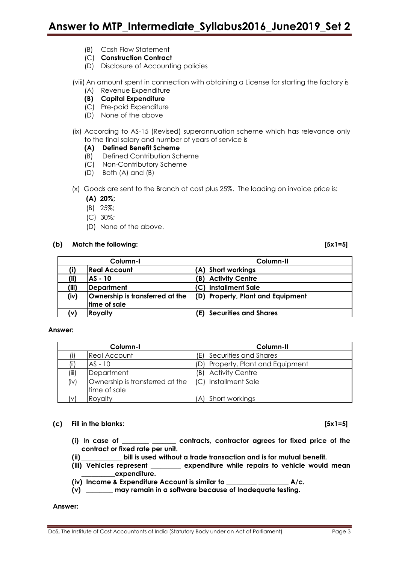- (B) Cash Flow Statement
- (C) **Construction Contract**
- (D) Disclosure of Accounting policies

(viii) An amount spent in connection with obtaining a License for starting the factory is (A) Revenue Expenditure

- **(B) Capital Expenditure**
- (C) Pre-paid Expenditure
- (D) None of the above
- (ix) According to AS-15 (Revised) superannuation scheme which has relevance only to the final salary and number of years of service is

### **(A) Defined Benefit Scheme**

- (B) Defined Contribution Scheme
- (C) Non-Contributory Scheme
- (D) Both (A) and (B)
- (x) Goods are sent to the Branch at cost plus 25%. The loading on invoice price is:
	- **(A) 20%;**
	- (B) 25%;
	- (C) 30%;
	- (D) None of the above.

### **(b) Match the following: [5x1=5]**

| Column-I |                                                 |     | Column-II                         |  |  |
|----------|-------------------------------------------------|-----|-----------------------------------|--|--|
| (i)      | <b>Real Account</b>                             |     | (A) Short workings                |  |  |
| (ii)     | AS - 10                                         | (B) | <b>Activity Centre</b>            |  |  |
| (iii)    | Department                                      |     | (C)  Installment Sale             |  |  |
| (iv)     | Ownership is transferred at the<br>time of sale |     | (D) Property, Plant and Equipment |  |  |
| (v)      | <b>Royalty</b>                                  | Έ)  | Securities and Shares             |  |  |

### **Answer:**

| Column-I |                                                                          |     | Column-II                     |  |  |
|----------|--------------------------------------------------------------------------|-----|-------------------------------|--|--|
|          | <b>Real Account</b>                                                      | Έ   | Securities and Shares         |  |  |
| (ii)     | $AS - 10$                                                                | (D) | Property, Plant and Equipment |  |  |
| (iii)    | Department                                                               | (B) | <b>Activity Centre</b>        |  |  |
| (iv)     | Ownership is transferred at the   (C)   Installment Sale<br>time of sale |     |                               |  |  |
| (v)      | Royalty                                                                  |     | (A) Short workings            |  |  |

### **(c) Fill in the blanks: [5x1=5]**

- **(i) In case of \_\_\_\_\_\_\_\_ \_\_\_\_\_\_\_ contracts, contractor agrees for fixed price of the contract or fixed rate per unit.**
- **(ii) \_\_\_\_\_\_\_\_\_\_\_\_ bill is used without a trade transaction and is for mutual benefit.**
- **(iii) Vehicles represent \_\_\_\_\_\_\_\_\_ expenditure while repairs to vehicle would mean \_\_\_\_\_\_\_\_\_\_expenditure.**
- **(iv) Income & Expenditure Account is similar to \_\_\_\_\_\_\_\_\_ \_\_\_\_\_\_\_\_\_ A/c.**
- **(v) \_\_\_\_\_\_\_\_ may remain in a software because of Inadequate testing.**

### **Answer:**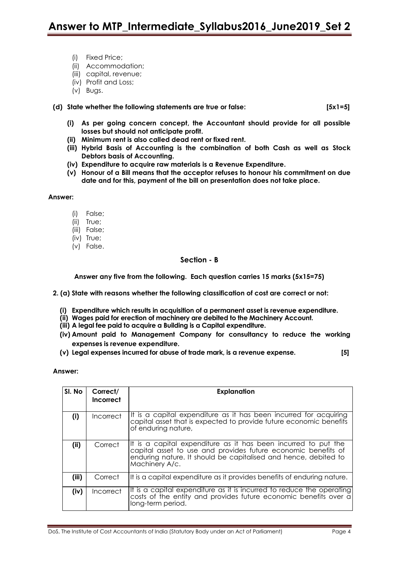- (i) Fixed Price;
- (ii) Accommodation;
- (iii) capital, revenue;
- (iv) Profit and Loss;
- (v) Bugs.
- **(d) State whether the following statements are true or false: [5x1=5]**

- **(i) As per going concern concept, the Accountant should provide for all possible losses but should not anticipate profit.**
- **(ii) Minimum rent is also called dead rent or fixed rent.**
- **(iii) Hybrid Basis of Accounting is the combination of both Cash as well as Stock Debtors basis of Accounting.**
- **(iv) Expenditure to acquire raw materials is a Revenue Expenditure.**
- **(v) Honour of a Bill means that the acceptor refuses to honour his commitment on due date and for this, payment of the bill on presentation does not take place.**

**Answer:**

- (i) False;
- (ii) True;
- (iii) False;
- (iv) True;
- (v) False.

### **Section - B**

**Answer any five from the following. Each question carries 15 marks (5x15=75)**

- **2. (a) State with reasons whether the following classification of cost are correct or not:**
	- **(i) Expenditure which results in acquisition of a permanent asset is revenue expenditure.**
	- **(ii) Wages paid for erection of machinery are debited to the Machinery Account.**
	- **(iii) A legal fee paid to acquire a Building is a Capital expenditure.**
	- **(iv) Amount paid to Management Company for consultancy to reduce the working expenses is revenue expenditure.**
	- **(v) Legal expenses incurred for abuse of trade mark, is a revenue expense. [5]**

**Answer:**

| SI. No | Correct/<br>Incorrect | <b>Explanation</b>                                                                                                                                                                                                   |
|--------|-----------------------|----------------------------------------------------------------------------------------------------------------------------------------------------------------------------------------------------------------------|
| (i)    | <b>Incorrect</b>      | It is a capital expenditure as it has been incurred for acquiring<br>capital asset that is expected to provide future economic benefits<br>of enduring nature,                                                       |
| (ii)   | Correct               | It is a capital expenditure as it has been incurred to put the<br>capital asset to use and provides future economic benefits of<br>enduring nature. It should be capitalised and hence, debited to<br>Machinery A/c. |
| (iii)  | Correct               | It is a capital expenditure as it provides benefits of enduring nature.                                                                                                                                              |
| (iv)   | Incorrect             | It is a capital expenditure as it is incurred to reduce the operating<br>costs of the entity and provides future economic benefits over a<br>long-term period.                                                       |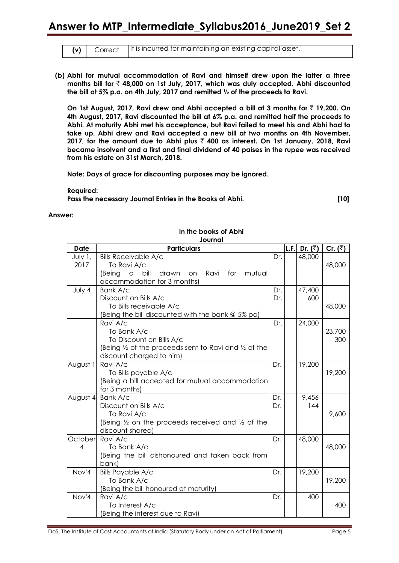|  | $(v)$   Correct   It is incurred for maintaining an existing capital asset. |
|--|-----------------------------------------------------------------------------|

**(b) Abhi for mutual accommodation of Ravi and himself drew upon the latter a three months bill for** ` **48,000 on 1st July, 2017, which was duly accepted. Abhi discounted the bill at 5% p.a. on 4th July, 2017 and remitted ½ of the proceeds to Ravi.**

**On 1st August, 2017, Ravi drew and Abhi accepted a bill at 3 months for** ` **19,200. On 4th August, 2017, Ravi discounted the bill at 6% p.a. and remitted half the proceeds to Abhi. At maturity Abhi met his acceptance, but Ravi failed to meet his and Abhi had to take up. Abhi drew and Ravi accepted a new bill at two months on 4th November, 2017, for the amount due to Abhi plus** ` **400 as interest. On 1st January, 2018, Ravi became insolvent and a first and final dividend of 40 paises in the rupee was received from his estate on 31st March, 2018.**

**Note: Days of grace for discounting purposes may be ignored.**

**Required: Pass the necessary Journal Entries in the Books of Abhi. [10]**

### **Answer:**

| Journal     |                                                                        |     |      |                      |                 |  |
|-------------|------------------------------------------------------------------------|-----|------|----------------------|-----------------|--|
| <b>Date</b> | <b>Particulars</b>                                                     |     | L.F. | Dr. $(\overline{z})$ | Cr. $(\bar{z})$ |  |
| July 1,     | <b>Bills Receivable A/c</b>                                            | Dr. |      | 48,000               |                 |  |
| 2017        | To Ravi A/c                                                            |     |      |                      | 48,000          |  |
|             | bill<br>drawn<br>Ravi<br>mutual<br>(Being<br>$\alpha$<br>on<br>for     |     |      |                      |                 |  |
|             | accommodation for 3 months)                                            |     |      |                      |                 |  |
| July 4      | Bank A/c                                                               | Dr. |      | 47,400               |                 |  |
|             | Discount on Bills A/c                                                  | Dr. |      | 600                  |                 |  |
|             | To Bills receivable A/c                                                |     |      |                      | 48,000          |  |
|             | (Being the bill discounted with the bank @ 5% pa)                      |     |      |                      |                 |  |
|             | Ravi A/c                                                               | Dr. |      | 24,000               |                 |  |
|             | To Bank A/c                                                            |     |      |                      | 23,700          |  |
|             | To Discount on Bills A/c                                               |     |      |                      | 300             |  |
|             | (Being 1/2 of the proceeds sent to Ravi and 1/2 of the                 |     |      |                      |                 |  |
|             | discount charged to him)                                               |     |      |                      |                 |  |
| August 1    | Ravi A/c                                                               | Dr. |      | 19,200               |                 |  |
|             | To Bills payable A/c                                                   |     |      |                      | 19,200          |  |
|             | (Being a bill accepted for mutual accommodation                        |     |      |                      |                 |  |
|             | for 3 months)                                                          |     |      |                      |                 |  |
|             | August 4 Bank A/c                                                      | Dr. |      | 9,456                |                 |  |
|             | Discount on Bills A/c                                                  | Dr. |      | 144                  |                 |  |
|             | To Ravi A/c                                                            |     |      |                      | 9,600           |  |
|             | (Being $\frac{1}{2}$ on the proceeds received and $\frac{1}{2}$ of the |     |      |                      |                 |  |
|             | discount shared)                                                       |     |      |                      |                 |  |
| October     | Ravi A/c                                                               | Dr. |      | 48,000               |                 |  |
| 4           | To Bank A/c                                                            |     |      |                      | 48,000          |  |
|             | (Being the bill dishonoured and taken back from                        |     |      |                      |                 |  |
| Nov'4       | bank)                                                                  |     |      |                      |                 |  |
|             | <b>Bills Payable A/c</b><br>To Bank A/c                                | Dr. |      | 19,200               | 19,200          |  |
|             |                                                                        |     |      |                      |                 |  |
| Nov'4       | (Being the bill honoured at maturity)<br>Ravi A/c                      | Dr. |      | 400                  |                 |  |
|             | To Interest A/c                                                        |     |      |                      | 400             |  |
|             | (Being the interest due to Ravi)                                       |     |      |                      |                 |  |
|             |                                                                        |     |      |                      |                 |  |

### **In the books of Abhi**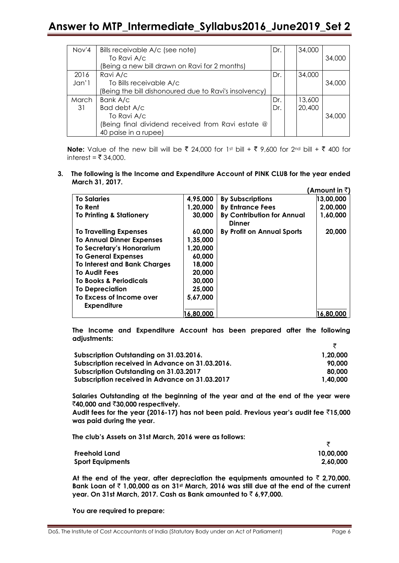| Nov'4 | Bills receivable A/c (see note)                       | Dr. | 34,000 |        |
|-------|-------------------------------------------------------|-----|--------|--------|
|       | To Ravi A/c                                           |     |        | 34,000 |
|       | (Being a new bill drawn on Ravi for 2 months)         |     |        |        |
| 2016  | Ravi A/c                                              | Dr. | 34,000 |        |
| Jan'1 | To Bills receivable A/c                               |     |        | 34,000 |
|       | (Being the bill dishonoured due to Ravi's insolvency) |     |        |        |
| March | Bank A/c                                              | Dr. | 13,600 |        |
| 31    | Bad debt A/c                                          | Dr. | 20,400 |        |
|       | To Ravi A/c                                           |     |        | 34,000 |
|       | (Being final dividend received from Ravi estate @     |     |        |        |
|       | 40 paise in a rupee)                                  |     |        |        |

**Note:** Value of the new bill will be ₹ 24,000 for 1st bill + ₹ 9,600 for 2<sup>nd</sup> bill + ₹ 400 for interest = ₹ 34,000.

**3. The following is the Income and Expenditure Account of PINK CLUB for the year ended March 31, 2017. (Amount in** `**)** 

|                                     |           |                                                    | ∣Amount in <b>≺</b> |
|-------------------------------------|-----------|----------------------------------------------------|---------------------|
| <b>To Salaries</b>                  | 4,95,000  | <b>By Subscriptions</b>                            | 13,00,000           |
| To Rent                             | 1,20,000  | <b>By Entrance Fees</b>                            | 2,00,000            |
| <b>To Printing &amp; Stationery</b> | 30,000    | <b>By Contribution for Annual</b><br><b>Dinner</b> | 1,60,000            |
| <b>To Travelling Expenses</b>       | 60,000    | By Profit on Annual Sports                         | 20,000              |
| <b>To Annual Dinner Expenses</b>    | 1,35,000  |                                                    |                     |
| To Secretary's Honorarium           | 1,20,000  |                                                    |                     |
| <b>To General Expenses</b>          | 60,000    |                                                    |                     |
| <b>To Interest and Bank Charges</b> | 18,000    |                                                    |                     |
| <b>To Audit Fees</b>                | 20,000    |                                                    |                     |
| <b>To Books &amp; Periodicals</b>   | 30,000    |                                                    |                     |
| <b>To Depreciation</b>              | 25,000    |                                                    |                     |
| To Excess of Income over            | 5,67,000  |                                                    |                     |
| <b>Expenditure</b>                  |           |                                                    |                     |
|                                     | 16,80,000 |                                                    | 16,80,000           |

**The Income and Expenditure Account has been prepared after the following adjustments:**

| Subscription Outstanding on 31.03.2016.         | 1.20.000 |
|-------------------------------------------------|----------|
| Subscription received in Advance on 31.03.2016. | 90.000   |
| Subscription Outstanding on 31.03.2017          | 80.000   |
| Subscription received in Advance on 31.03.2017  | 1.40.000 |

**Salaries Outstanding at the beginning of the year and at the end of the year were**  `**40,000 and** `**30,000 respectively.** 

**Audit fees for the year (2016-17) has not been paid. Previous year's audit fee** `**15,000 was paid during the year.** 

**The club's Assets on 31st March, 2016 were as follows:** 

| <b>Freehold Land</b>    | 10,00,000 |
|-------------------------|-----------|
| <b>Sport Equipments</b> | 2,60,000  |

At the end of the year, after depreciation the equipments amounted to  $\bar{z}$  2,70,000. **Bank Loan of** ` **1,00,000 as on 31st March, 2016 was still due at the end of the current year. On 31st March, 2017. Cash as Bank amounted to** ` **6,97,000.**

**You are required to prepare:**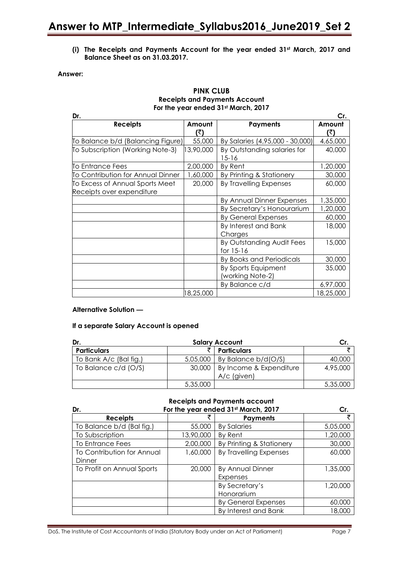**(i) The Receipts and Payments Account for the year ended 31st March, 2017 and Balance Sheet as on 31.03.2017.**

### **Answer:**

### **PINK CLUB Receipts and Payments Account For the year ended 31st March, 2017**

| Dr.                               |               |                                          | Cr.           |
|-----------------------------------|---------------|------------------------------------------|---------------|
| <b>Receipts</b>                   | Amount<br>(₹) | <b>Payments</b>                          | Amount<br>(₹) |
| To Balance b/d (Balancing Figure) | 55,000        | By Salaries (4,95,000 - 30,000)          | 4,65,000      |
| To Subscription (Working Note-3)  | 13,90,000     | By Outstanding salaries for<br>$15 - 16$ | 40,000        |
| To Entrance Fees                  | 2,00,000      | By Rent                                  | 1,20,000      |
| To Contribution for Annual Dinner | 1,60,000      | By Printing & Stationery                 | 30,000        |
| To Excess of Annual Sports Meet   | 20,000        | By Travelling Expenses                   | 60,000        |
| Receipts over expenditure         |               |                                          |               |
|                                   |               | By Annual Dinner Expenses                | 1,35,000      |
|                                   |               | By Secretary's Honourarium               | 1,20,000      |
|                                   |               | <b>By General Expenses</b>               | 60,000        |
|                                   |               | By Interest and Bank<br>Charges          | 18,000        |
|                                   |               | By Outstanding Audit Fees<br>for 15-16   | 15,000        |
|                                   |               | By Books and Periodicals                 | 30,000        |
|                                   |               | By Sports Equipment<br>(working Note-2)  | 35,000        |
|                                   |               | By Balance c/d                           | 6,97,000      |
|                                   | 18,25,000     |                                          | 18,25,000     |

### **Alternative Solution —**

### **If a separate Salary Account is opened**

| Dr.                    |          | <b>Salary Account</b>                  |          |  |  |
|------------------------|----------|----------------------------------------|----------|--|--|
| <b>Particulars</b>     |          | <b>Particulars</b>                     |          |  |  |
| To Bank A/c (Bal fig.) | 5,05,000 | By Balance b/d(O/S)                    | 40,000   |  |  |
| To Balance c/d (O/S)   | 30,000   | By Income & Expenditure<br>A/c (given) | 4,95,000 |  |  |
|                        | 5,35,000 |                                        | 5,35,000 |  |  |

### **Receipts and Payments account**

| Dr.                        | For the year ended 31st March, 2017 | Cr.                        |          |
|----------------------------|-------------------------------------|----------------------------|----------|
| <b>Receipts</b>            |                                     | <b>Payments</b>            |          |
| To Balance b/d (Bal fig.)  | 55,000                              | <b>By Salaries</b>         | 5,05,000 |
| To Subscription            | 13,90,000                           | By Rent                    | 1,20,000 |
| <b>To Entrance Fees</b>    | 2,00,000                            | By Printing & Stationery   | 30,000   |
| To Contribution for Annual | 1,60,000                            | By Travelling Expenses     | 60,000   |
| Dinner                     |                                     |                            |          |
| To Profit on Annual Sports | 20,000                              | <b>By Annual Dinner</b>    | 1,35,000 |
|                            |                                     | Expenses                   |          |
|                            |                                     | By Secretary's             | 1,20,000 |
|                            |                                     | Honorarium                 |          |
|                            |                                     | <b>By General Expenses</b> | 60,000   |
|                            |                                     | By Interest and Bank       | 18,000   |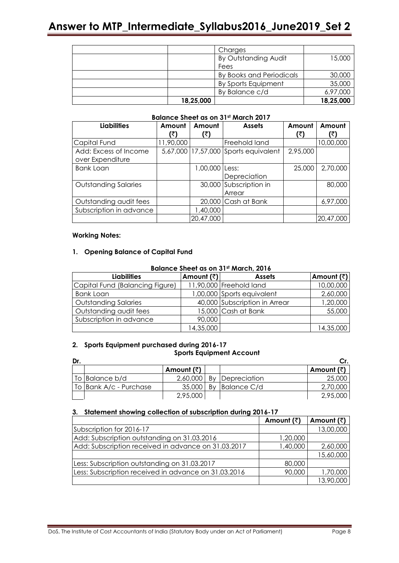|           | Charges                  |           |
|-----------|--------------------------|-----------|
|           | By Outstanding Audit     | 15,000    |
|           | Fees                     |           |
|           | By Books and Periodicals | 30,000    |
|           | By Sports Equipment      | 35,000    |
|           | By Balance c/d           | 6,97,000  |
| 18,25,000 |                          | 18,25,000 |

### **Balance Sheet as on 31st March 2017**

| <b>Liabilities</b>                        | Amount<br>(₹ | Amount<br>(₹)      | <b>Assets</b>             | Amount<br>(₹) | Amount<br>(₹) |
|-------------------------------------------|--------------|--------------------|---------------------------|---------------|---------------|
| Capital Fund                              | 11,90,000    |                    | Freehold land             |               | 10,00,000     |
| Add: Excess of Income<br>over Expenditure |              | 5,67,000 17,57,000 | Sports equivalent         | 2,95,000      |               |
| <b>Bank Loan</b>                          |              | 1,00,000           | ILess:<br>Depreciation    | 25,000        | 2,70,000      |
| <b>Outstanding Salaries</b>               |              | 30,000             | Subscription in<br>Arrear |               | 80,000        |
| Outstanding audit fees                    |              |                    | 20,000 Cash at Bank       |               | 6,97,000      |
| Subscription in advance                   |              | 1,40,000           |                           |               |               |
|                                           |              | 20,47,000          |                           |               | 20,47,000     |

### **Working Notes:**

### **1. Opening Balance of Capital Fund**

### **Balance Sheet as on 31st March, 2016**

| <b>Liabilities</b>              | Amount (₹) | <b>Assets</b>                 | Amount (₹) |
|---------------------------------|------------|-------------------------------|------------|
| Capital Fund (Balancing Figure) |            | 11,90,000 Freehold land       | 10,00,000  |
| Bank Loan                       |            | 1,00,000 Sports equivalent    | 2,60,000   |
| <b>Outstanding Salaries</b>     |            | 40,000 Subscription in Arrear | 1,20,000   |
| Outstanding audit fees          |            | 15,000 Cash at Bank           | 55,000     |
| Subscription in advance         | 90,000     |                               |            |
|                                 | 14,35,000  |                               | 14,35,000  |

### **2. Sports Equipment purchased during 2016-17 Sports Equipment Account**

| Dr. |                        |            |    |                 |            |
|-----|------------------------|------------|----|-----------------|------------|
|     |                        | Amount (₹) |    |                 | Amount (₹) |
|     | To Balance b/d         | 2,60,000   |    | By Depreciation | 25,000     |
|     | To Bank A/c - Purchase | 35,000     | Bv | Balance C/d     | 2,70,000   |
|     |                        | 2,95,000   |    |                 | 2,95,000   |

### **3. Statement showing collection of subscription during 2016-17**

|                                                      | Amount $(\bar{z})$ | Amount $(\bar{z})$ |
|------------------------------------------------------|--------------------|--------------------|
| Subscription for 2016-17                             |                    | 13,00,000          |
| Add: Subscription outstanding on 31.03.2016          | 1,20,000           |                    |
| Add: Subscription received in advance on 31.03.2017  | 1,40,000           | 2,60,000           |
|                                                      |                    | 15,60,000          |
| Less: Subscription outstanding on 31.03.2017         | 80,000             |                    |
| Less: Subscription received in advance on 31.03.2016 | 90,000             | 1,70,000           |
|                                                      |                    | 13,90,000          |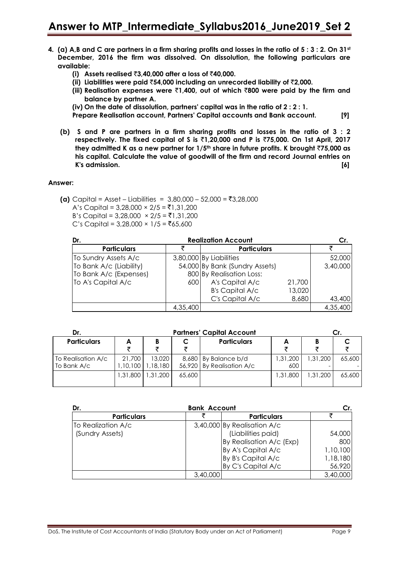- **4. (a) A,B and C are partners in a firm sharing profits and losses in the ratio of 5 : 3 : 2. On 31st December, 2016 the firm was dissolved. On dissolution, the following particulars are available:**
	- **(i) Assets realised** `**3,40,000 after a loss of** `**40,000.**
	- **(ii) Liabilities were paid** `**54,000 including an unrecorded liability of** `**2,000.**
	- **(iii) Realisation expenses were** `**1,400, out of which** `**800 were paid by the firm and balance by partner A.**
	- **(iv) On the date of dissolution, partners' capital was in the ratio of 2 : 2 : 1.**
	- **Prepare Realisation account, Partners' Capital accounts and Bank account. [9]**
	- **(b) S and P are partners in a firm sharing profits and losses in the ratio of 3 : 2 respectively. The fixed capital of S is** `**1,20,000 and P is** `**75,000. On 1st April, 2017 they admitted K as a new partner for 1/5th share in future profits. K brought** `**75,000 as his capital. Calculate the value of goodwill of the firm and record Journal entries on K's admission. [6]**

### **Answer:**

**(a)** Capital = Asset – Liabilities =  $3,80,000 - 52,000 = ₹3,28,000$ A's Capital =  $3,28,000 \times 2/5 = ₹1,31,200$ B's Capital = 3,28,000  $\times$  2/5 = ₹1,31,200  $C$ 's Capital = 3,28,000 × 1/5 = ₹65,600

| <b>Realization Account</b><br>Dr. |          |                                |        |          |  |
|-----------------------------------|----------|--------------------------------|--------|----------|--|
| <b>Particulars</b>                |          | <b>Particulars</b>             |        |          |  |
| To Sundry Assets A/c              |          | 3,80,000 By Liabilities        |        | 52,000   |  |
| To Bank A/c (Liability)           |          | 54,000 By Bank (Sundry Assets) |        | 3,40,000 |  |
| To Bank A/c (Expenses)            |          | 800 By Realisation Loss:       |        |          |  |
| To A's Capital A/c                | 600      | A's Capital A/c                | 21,700 |          |  |
|                                   |          | <b>B's Capital A/c</b>         | 13,020 |          |  |
|                                   |          | C's Capital A/c                | 8,680  | 43,400   |  |
|                                   | 4,35,400 |                                |        | 4,35,400 |  |

| Dr.                               | <b>Partners' Capital Account</b> |                    |        |                                                   |                 |            |        |  |  |
|-----------------------------------|----------------------------------|--------------------|--------|---------------------------------------------------|-----------------|------------|--------|--|--|
| <b>Particulars</b>                | A                                |                    | ₹      | <b>Particulars</b>                                | A               |            |        |  |  |
| To Realisation A/c<br>To Bank A/c | 21,700<br>,10,100                | 13,020<br>1,18,180 |        | 8,680 By Balance b/d<br>56,920 By Realisation A/c | 200, 31.<br>600 | ا 200, 31. | 65,600 |  |  |
|                                   | 1.31.800                         | 1,31,200           | 65,600 |                                                   | 1.31.800        | 1,31,200   | 65,600 |  |  |

| Dr.                |          | <b>Bank Account</b>         |          |  |
|--------------------|----------|-----------------------------|----------|--|
| <b>Particulars</b> |          | <b>Particulars</b>          |          |  |
| To Realization A/c |          | 3,40,000 By Realisation A/c |          |  |
| (Sundry Assets)    |          | (Liabilities paid)          | 54,000   |  |
|                    |          | By Realisation A/c (Exp)    | 800      |  |
|                    |          | By A's Capital A/c          | 1,10,100 |  |
|                    |          | By B's Capital A/c          | 1,18,180 |  |
|                    |          | By C's Capital A/c          | 56,920   |  |
|                    | 3,40,000 |                             | 3,40,000 |  |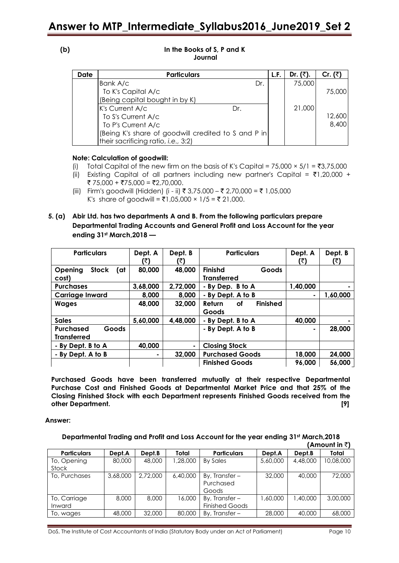| v<br>I<br>۰, |  |
|--------------|--|
|              |  |

### **(b) In the Books of S, P and K Journal**

| Date | <b>Particulars</b>                                   |     | L.F. | Dr. $(3)$ . | Cr. $(\bar{z})$ |
|------|------------------------------------------------------|-----|------|-------------|-----------------|
|      | Bank A/c                                             | Dr. |      | 75,000      |                 |
|      | To K's Capital A/c                                   |     |      |             | 75,000          |
|      | (Being capital bought in by K)                       |     |      |             |                 |
|      | K's Current A/c<br>Dr.                               |     |      | 21,000      |                 |
|      | To S's Current A/c                                   |     |      |             | 12,600          |
|      | To P's Current A/c                                   |     |      |             | 8,400           |
|      | (Being K's share of goodwill credited to S and P in) |     |      |             |                 |
|      | their sacrificing ratio, i.e., 3:2)                  |     |      |             |                 |

### **Note: Calculation of goodwill:**

- (i) Total Capital of the new firm on the basis of K's Capital =  $75,000 \times 5/1 = ₹3,75,000$
- (ii) Existing Capital of all partners including new partner's Capital =  $\bar{\tau}1,20,000 +$ ₹ 75,000 + ₹75,000 = ₹2,70,000.
- (iii) Firm's goodwill (Hidden) (i ii) ₹ 3,75.000 ₹ 2,70,000 = ₹ 1,05,000 K's share of goodwill = ₹1,05,000 × 1/5 = ₹ 21,000.
- **5. (a) Abir Ltd. has two departments A and B. From the following particulars prepare Departmental Trading Accounts and General Profit and Loss Account for the year ending 31st March,2018 —**

| <b>Particulars</b>                      | Dept. A<br>(₹ | Dept. B<br>(₹) | <b>Particulars</b>                     | Dept. A<br>(₹) | Dept. B<br>(₹) |
|-----------------------------------------|---------------|----------------|----------------------------------------|----------------|----------------|
| Opening<br><b>Stock</b><br>(at<br>cost) | 80,000        | 48,000         | Finishd<br>Goods<br><b>Transferred</b> |                |                |
| <b>Purchases</b>                        | 3,68,000      | 2,72,000       | - By Dep. B to A                       | 1,40,000       |                |
| <b>Carriage Inward</b>                  | 8,000         | 8,000          | - By Dept. A to B                      |                | 1,60,000       |
| <b>Wages</b>                            | 48,000        | 32,000         | <b>Finished</b><br><b>Return</b><br>οf |                |                |
|                                         |               |                | Goods                                  |                |                |
| <b>Sales</b>                            | 5,60,000      | 4,48,000       | - By Dept. B to A                      | 40,000         |                |
| Goods<br><b>Purchased</b>               |               |                | - By Dept. A to B                      |                | 28,000         |
| <b>Transferred</b>                      |               |                |                                        |                |                |
| - By Dept. B to A                       | 40,000        | ۰              | <b>Closing Stock</b>                   |                |                |
| - By Dept. A to B                       | ٠             | 32,000         | <b>Purchased Goods</b>                 | 18,000         | 24,000         |
|                                         |               |                | <b>Finished Goods</b>                  | 96,000         | 56,000         |

**Purchased Goods have been transferred mutually at their respective Departmental Purchase Cost and Finished Goods at Departmental Market Price and that 25% of the Closing Finished Stock with each Department represents Finished Goods received from the other Department. [9]**

### **Answer:**

#### **Departmental Trading and Profit and Loss Account for the year ending 31st March,2018 (Amount in** `**)**

| <b>Particulars</b> | Dept.A   | Dept.B   | Total    | <b>Particulars</b>    | Dept.A   | Dept.B   | Total     |
|--------------------|----------|----------|----------|-----------------------|----------|----------|-----------|
| To, Opening        | 80,000   | 48,000   | 1,28,000 | By Sales              | 5,60,000 | 4,48,000 | 10,08,000 |
| Stock              |          |          |          |                       |          |          |           |
| To, Purchases      | 3,68,000 | 2,72,000 | 6,40,000 | By, Transfer $-$      | 32,000   | 40,000   | 72,000    |
|                    |          |          |          | Purchased             |          |          |           |
|                    |          |          |          | Goods                 |          |          |           |
| To, Carriage       | 8,000    | 8,000    | 16,000   | By, Transfer $-$      | ,60,000  | .40.000  | 3,00,000  |
| Inward             |          |          |          | <b>Finished Goods</b> |          |          |           |
| To, wages          | 48,000   | 32,000   | 80,000   | By, Transfer $-$      | 28,000   | 40,000   | 68,000    |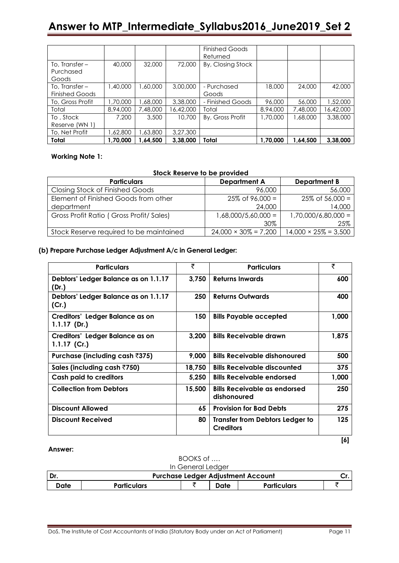|                                        |          |           |           | <b>Finished Goods</b><br>Returned |          |          |           |
|----------------------------------------|----------|-----------|-----------|-----------------------------------|----------|----------|-----------|
| To, Transfer-<br>Purchased<br>Goods    | 40,000   | 32,000    | 72,000    | By, Closing Stock                 |          |          |           |
| To, Transfer-<br><b>Finished Goods</b> | 1,40,000 | 000,00, ا | 3,00,000  | - Purchased<br>Goods              | 18,000   | 24,000   | 42,000    |
| To, Gross Profit                       | ,70,000  | ,68,000   | 3,38,000  | - Finished Goods                  | 96,000   | 56,000   | 1,52,000  |
| Total                                  | 8,94,000 | 7,48,000  | 16,42,000 | Total                             | 8,94,000 | 7,48,000 | 16,42,000 |
| To, Stock<br>Reserve (WN 1)            | 7,200    | 3,500     | 10,700    | By, Gross Profit                  | ,70,000  | 1,68,000 | 3,38,000  |
| To, Net Profit                         | .62,800  | .63,800   | 3,27,300  |                                   |          |          |           |
| Total                                  | 1.70.000 | .64.500   | 3.38.000  | Total                             | 1,70,000 | 1.64.500 | 3,38,000  |

### **Working Note 1:**

### **Stock Reserve to be provided**

| <b>Particulars</b>                      | <b>Department A</b>          | <b>Department B</b>          |
|-----------------------------------------|------------------------------|------------------------------|
| <b>Closing Stock of Finished Goods</b>  | 96,000                       | 56,000                       |
| Element of Finished Goods from other    | $25\%$ of 96,000 =           | $25\%$ of 56,000 =           |
| department                              | 24,000                       | 14,000                       |
| Gross Profit Ratio (Gross Profit/Sales) | $1,68,000/5,60,000 =$        | $1,70,000/6,80,000 =$        |
|                                         | 30%                          | 25%                          |
| Stock Reserve required to be maintained | $24,000 \times 30\% = 7,200$ | $14,000 \times 25\% = 3,500$ |

### **(b) Prepare Purchase Ledger Adjustment A/c in General Ledger:**

| <b>Particulars</b>                                | ₹      | <b>Particulars</b>                                         | ₹     |
|---------------------------------------------------|--------|------------------------------------------------------------|-------|
| Debtors' Ledger Balance as on 1.1.17<br>(Dr.)     | 3.750  | <b>Returns Inwards</b>                                     | 600   |
| Debtors' Ledger Balance as on 1.1.17<br>(Cr.)     | 250    | <b>Returns Outwards</b>                                    | 400   |
| Creditors' Ledger Balance as on<br>$1.1.17$ (Dr.) | 150    | <b>Bills Payable accepted</b>                              | 1,000 |
| Creditors' Ledger Balance as on<br>1.1.17 $(Cr.)$ | 3,200  | <b>Bills Receivable drawn</b>                              | 1,875 |
| Purchase (including cash ₹375)                    | 9,000  | <b>Bills Receivable dishonoured</b>                        | 500   |
| Sales (including cash ₹750)                       | 18,750 | <b>Bills Receivable discounted</b>                         | 375   |
| Cash paid to creditors                            | 5,250  | <b>Bills Receivable endorsed</b>                           | 1,000 |
| <b>Collection from Debtors</b>                    | 15,500 | <b>Bills Receivable as endorsed</b><br>dishonoured         | 250   |
| <b>Discount Allowed</b>                           | 65     | <b>Provision for Bad Debts</b>                             | 275   |
| <b>Discount Received</b>                          | 80     | <b>Transfer from Debtors Ledger to</b><br><b>Creditors</b> | 125   |

### **Answer:**

|      | BOOKS of           |                                           |      |                    |  |  |  |
|------|--------------------|-------------------------------------------|------|--------------------|--|--|--|
|      |                    | In General Ledger                         |      |                    |  |  |  |
| Dr.  |                    | <b>Purchase Ledger Adjustment Account</b> |      |                    |  |  |  |
| Date | <b>Particulars</b> |                                           | Date | <b>Particulars</b> |  |  |  |

 **[6]**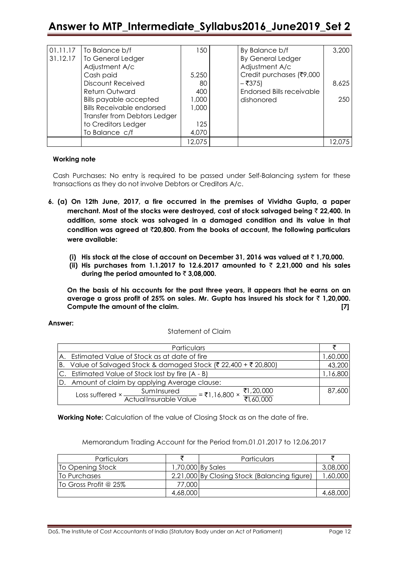| 01.11.17 | To Balance b/f                   | 150    | By Balance b/f                   | 3,200  |
|----------|----------------------------------|--------|----------------------------------|--------|
| 31.12.17 | To General Ledger                |        | <b>By General Ledger</b>         |        |
|          | Adjustment A/c                   |        | Adjustment A/c                   |        |
|          | Cash paid                        | 5,250  | Credit purchases (₹9,000         |        |
|          | <b>Discount Received</b>         | 80     | $-$ ₹375)                        | 8,625  |
|          | <b>Return Outward</b>            | 400    | <b>Endorsed Bills receivable</b> |        |
|          | <b>Bills payable accepted</b>    | 1,000  | dishonored                       | 250    |
|          | <b>Bills Receivable endorsed</b> | 1,000  |                                  |        |
|          | Transfer from Debtors Ledger     |        |                                  |        |
|          | to Creditors Ledger              | 125    |                                  |        |
|          | To Balance c/f                   | 4,070  |                                  |        |
|          |                                  | 12,075 |                                  | 12.075 |

### **Working note**

Cash Purchases: No entry is required to be passed under Self-Balancing system for these transactions as they do not involve Debtors or Creditors A/c.

- **6. (a) On 12th June, 2017, a fire occurred in the premises of Vividha Gupta, a paper merchant. Most of the stocks were destroyed, cost of stock salvaged being** ` **22,400. In addition, some stock was salvaged in a damaged condition and its value in that condition was agreed at** `**20,800. From the books of account, the following particulars were available:**
	- **(i) His stock at the close of account on December 31, 2016 was valued at** ` **1,70,000.**
	- **(ii) His purchases from 1.1.2017 to 12.6.2017 amounted to** ` **2,21,000 and his sales during the period amounted to** ` **3,08,000.**

**On the basis of his accounts for the past three years, it appears that he earns on an average a gross profit of 25% on sales. Mr. Gupta has insured his stock for** ` **1,20,000. Compute the amount of the claim. [7]**

### **Answer:**

### Statement of Claim

|     | <b>Particulars</b>                                                                                                      |          |
|-----|-------------------------------------------------------------------------------------------------------------------------|----------|
|     | A. Estimated Value of Stock as at date of fire                                                                          | ,60,000  |
| IB. | Value of Salvaged Stock & damaged Stock (₹ 22,400 + ₹ 20,800)                                                           | 43,200   |
|     | C. Estimated Value of Stock lost by fire (A - B)                                                                        | 1,16,800 |
|     | D. Amount of claim by applying Average clause:                                                                          |          |
|     | Loss suffered × $\frac{\text{SumInsured}}{\text{ActualInsurable Value}} = ₹1,16,800 \times \frac{71,20,000}{71,60,000}$ | 87,600   |

**Working Note:** Calculation of the value of Closing Stock as on the date of fire.

Memorandum Trading Account for the Period from.01.01.2017 to 12.06.2017

| <b>Particulars</b>                 |          | Particulars                                  |          |
|------------------------------------|----------|----------------------------------------------|----------|
| To Opening Stock                   |          | 1,70,000 By Sales                            | 3,08,000 |
| To Purchases                       |          | 2,21,000 By Closing Stock (Balancing figure) | 1,60,000 |
| $\overline{10}$ Gross Profit @ 25% | 77,000   |                                              |          |
|                                    | 4,68,000 |                                              | 4,68,000 |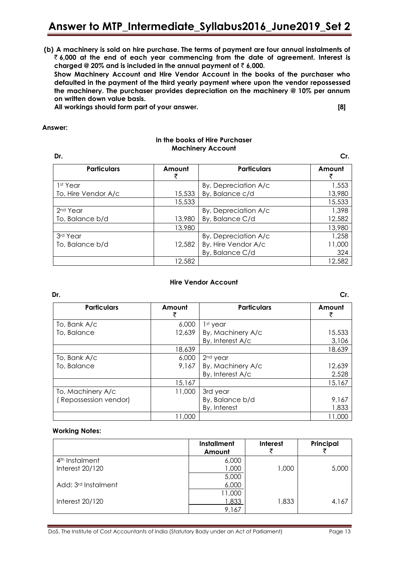**(b) A machinery is sold on hire purchase. The terms of payment are four annual instalments of**  ` **6,000 at the end of each year commencing from the date of agreement. Interest is**  charged @ 20% and is included in the annual payment of  $\bar{z}$  6,000.

**Show Machinery Account and Hire Vendor Account in the books of the purchaser who defaulted in the payment of the third yearly payment where upon the vendor repossessed the machinery. The purchaser provides depreciation on the machinery @ 10% per annum on written down value basis.**

**All workings should form part of your answer. [8]**

### **Answer:**

### **In the books of Hire Purchaser Machinery Account**

| Dr.                  |             |                      | Cr.    |
|----------------------|-------------|----------------------|--------|
| <b>Particulars</b>   | Amount<br>₹ | <b>Particulars</b>   | Amount |
| 1 <sup>st</sup> Year |             | By, Depreciation A/c | 1,553  |
| To, Hire Vendor A/c  | 15,533      | By, Balance c/d      | 13,980 |
|                      | 15,533      |                      | 15,533 |
| 2 <sup>nd</sup> Year |             | By, Depreciation A/c | 1,398  |
| To, Balance b/d      | 13,980      | By, Balance C/d      | 12,582 |
|                      | 13,980      |                      | 13,980 |
| 3rd Year             |             | By, Depreciation A/c | 1,258  |
| To, Balance b/d      | 12,582      | By, Hire Vendor A/c  | 11,000 |
|                      |             | By, Balance C/d      | 324    |
|                      | 12,582      |                      | 12,582 |

### **Hire Vendor Account**

| Dr.                   |        |                      | Cr.    |
|-----------------------|--------|----------------------|--------|
| <b>Particulars</b>    | Amount | <b>Particulars</b>   | Amount |
| To, Bank A/c          | 6,000  | 1 <sup>st</sup> year |        |
| To, Balance           | 12,639 | By, Machinery A/c    | 15,533 |
|                       |        | By, Interest A/c     | 3,106  |
|                       | 18,639 |                      | 18,639 |
| To, Bank A/c          | 6,000  | 2 <sup>nd</sup> year |        |
| To, Balance           | 9,167  | By, Machinery A/c    | 12,639 |
|                       |        | By, Interest A/c     | 2,528  |
|                       | 15,167 |                      | 15,167 |
| To, Machinery A/c     | 11,000 | 3rd year             |        |
| (Repossession vendor) |        | By, Balance b/d      | 9,167  |
|                       |        | By, Interest         | 1,833  |
|                       | 11,000 |                      | 11,000 |

### **Working Notes:**

|                                 | <b>Installment</b><br>Amount | <b>Interest</b> | Principal |
|---------------------------------|------------------------------|-----------------|-----------|
| 4 <sup>th</sup> Instalment      | 6,000                        |                 |           |
| Interest 20/120                 | 1,000                        | 1,000           | 5,000     |
|                                 | 5,000                        |                 |           |
| Add: 3 <sup>rd</sup> Instalment | 6,000                        |                 |           |
|                                 | 11,000                       |                 |           |
| Interest $20/120$               | <u>1,833 </u>                | 1,833           | 4,167     |
|                                 | 9,167                        |                 |           |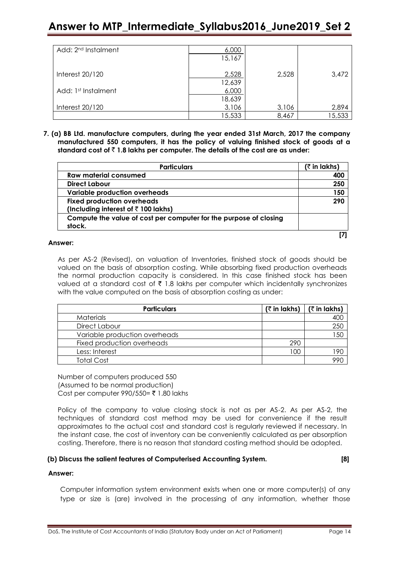| Add: 2 <sup>nd</sup> Instalment | 6,000  |       |        |
|---------------------------------|--------|-------|--------|
|                                 | 15,167 |       |        |
|                                 |        |       |        |
| Interest 20/120                 | 2,528  | 2,528 | 3,472  |
|                                 | 12,639 |       |        |
| Add: 1st Instalment             | 6,000  |       |        |
|                                 | 18,639 |       |        |
| Interest 20/120                 | 3,106  | 3,106 | 2,894  |
|                                 | 5,533  | 8,467 | 15,533 |

**7. (a) BB Ltd. manufacture computers, during the year ended 31st March, 2017 the company manufactured 550 computers, it has the policy of valuing finished stock of goods at a standard cost of** ` **1.8 lakhs per computer. The details of the cost are as under:**

| <b>Particulars</b>                                                | (₹ in lakhs) |
|-------------------------------------------------------------------|--------------|
| <b>Raw material consumed</b>                                      | 400          |
| Direct Labour                                                     | 250          |
| <b>Variable production overheads</b>                              | 150          |
| <b>Fixed production overheads</b>                                 | 290          |
| (Including interest of $\bar{z}$ 100 lakhs)                       |              |
| Compute the value of cost per computer for the purpose of closing |              |
| stock.                                                            |              |
|                                                                   |              |

### **Answer:**

As per AS-2 (Revised), on valuation of Inventories, finished stock of goods should be valued on the basis of absorption costing. While absorbing fixed production overheads the normal production capacity is considered. In this case finished stock has been valued at a standard cost of  $\bar{\tau}$  1.8 lakhs per computer which incidentally synchronizes with the value computed on the basis of absorption costing as under:

| <b>Particulars</b>            | $($ ₹ in lakhs) | $($ ₹ in lakhs) |
|-------------------------------|-----------------|-----------------|
| Materials                     |                 | 400             |
| Direct Labour                 |                 | 250             |
| Variable production overheads |                 | 150             |
| Fixed production overheads    | 290             |                 |
| Less: Interest                | 00              | 190             |
| <b>Total Cost</b>             |                 | 990             |

Number of computers produced 550 (Assumed to be normal production) Cost per computer  $990/550= ₹ 1.80$  lakhs

Policy of the company to value closing stock is not as per AS-2. As per AS-2, the techniques of standard cost method may be used for convenience if the result approximates to the actual cost and standard cost is regularly reviewed if necessary. In the instant case, the cost of inventory can be conveniently calculated as per absorption costing. Therefore, there is no reason that standard costing method should be adopted.

### **(b) Discuss the salient features of Computerised Accounting System. [8]**

### **Answer:**

Computer information system environment exists when one or more computer(s) of any type or size is (are) involved in the processing of any information, whether those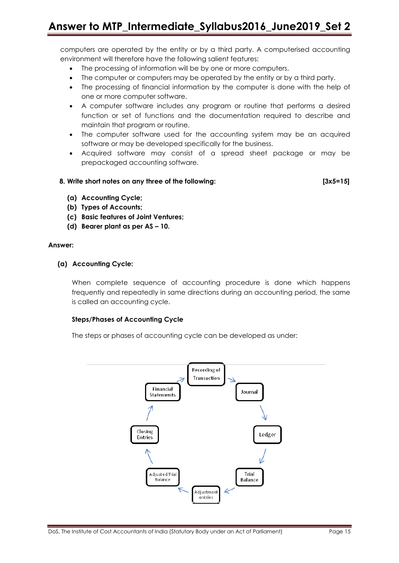computers are operated by the entity or by a third party. A computerised accounting environment will therefore have the following salient features:

- The processing of information will be by one or more computers.
- The computer or computers may be operated by the entity or by a third party.
- The processing of financial information by the computer is done with the help of one or more computer software.
- A computer software includes any program or routine that performs a desired function or set of functions and the documentation required to describe and maintain that program or routine.
- The computer software used for the accounting system may be an acquired software or may be developed specifically for the business.
- Acquired software may consist of a spread sheet package or may be prepackaged accounting software.

### **8. Write short notes on any three of the following: [3x5=15]**

- **(a) Accounting Cycle;**
- **(b) Types of Accounts;**
- **(c) Basic features of Joint Ventures;**
- **(d) Bearer plant as per AS – 10.**

### **Answer:**

### **(a) Accounting Cycle:**

When complete sequence of accounting procedure is done which happens frequently and repeatedly in same directions during an accounting period, the same is called an accounting cycle.

### **Steps/Phases of Accounting Cycle**

The steps or phases of accounting cycle can be developed as under:

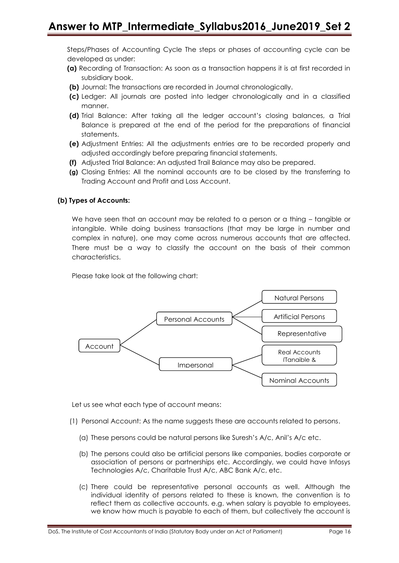Steps/Phases of Accounting Cycle The steps or phases of accounting cycle can be developed as under:

- **(a)** Recording of Transaction: As soon as a transaction happens it is at first recorded in subsidiary book.
- **(b)** Journal: The transactions are recorded in Journal chronologically.
- **(c)** Ledger: All journals are posted into ledger chronologically and in a classified manner.
- **(d)** Trial Balance: After taking all the ledger account's closing balances, a Trial Balance is prepared at the end of the period for the preparations of financial statements.
- **(e)** Adjustment Entries: All the adjustments entries are to be recorded properly and adjusted accordingly before preparing financial statements.
- **(f)** Adjusted Trial Balance: An adjusted Trail Balance may also be prepared.
- **(g)** Closing Entries: All the nominal accounts are to be closed by the transferring to Trading Account and Profit and Loss Account.

### **(b) Types of Accounts:**

We have seen that an account may be related to a person or a thing – tangible or intangible. While doing business transactions (that may be large in number and complex in nature), one may come across numerous accounts that are affected. There must be a way to classify the account on the basis of their common characteristics.

Please take look at the following chart:



Let us see what each type of account means:

- (1) Personal Account: As the name suggests these are accounts related to persons.
	- (a) These persons could be natural persons like Suresh's A/c, Anil's A/c etc.
	- (b) The persons could also be artificial persons like companies, bodies corporate or association of persons or partnerships etc. Accordingly, we could have Infosys Technologies A/c, Charitable Trust A/c, ABC Bank A/c, etc.
	- (c) There could be representative personal accounts as well. Although the individual identity of persons related to these is known, the convention is to reflect them as collective accounts. e.g. when salary is payable to employees, we know how much is payable to each of them, but collectively the account is